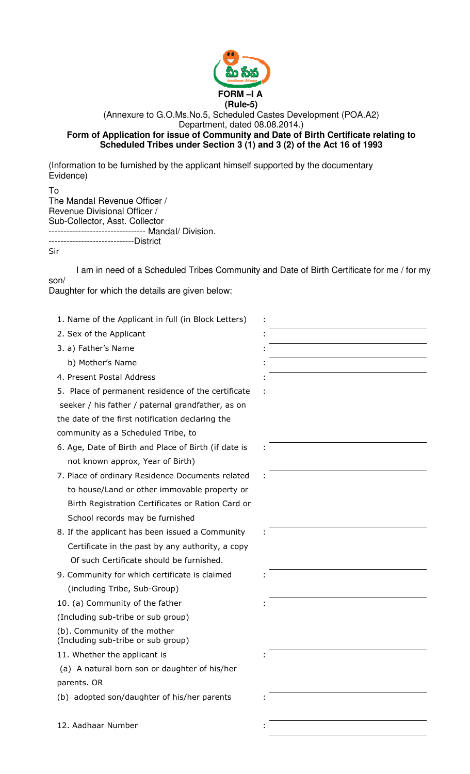

## (Annexure to G.O.Ms.No.5, Scheduled Castes Development (POA.A2) Department, dated 08.08.2014.) **Form of Application for issue of Community and Date of Birth Certificate relating to Scheduled Tribes under Section 3 (1) and 3 (2) of the Act 16 of 1993**

(Information to be furnished by the applicant himself supported by the documentary Evidence)

To The MandaI Revenue Officer / Revenue Divisional Officer / Sub-Collector, Asst. Collector --------------------------------- MandaI/ Division. -----------------------------District

Sir

I am in need of a Scheduled Tribes Community and Date of Birth Certificate for me / for my son/

Daughter for which the details are given below:

1. Name of the Applicant in full (in Block Letters) 2. Sex of the Applicant 3. a) Father's Name b) Mother's Name 4. Present Postal Address 5. Place of permanent residence of the certificate seeker / his father / paternal grandfather, as on the date of the first notification declaring the community as a Scheduled Tribe, to : : 6. Age, Date of Birth and Place of Birth (if date is not known approx, Year of Birth) : 7. Place of ordinary Residence Documents related to house/Land or other immovable property or Birth Registration Certificates or Ration Card or School records may be furnished : 8. If the applicant has been issued a Community Certificate in the past by any authority, a copy Of such Certificate should be furnished. : 9. Community for which certificate is claimed (including Tribe, Sub-Group) : 10. (a) Community of the father (Including sub-tribe or sub group) (b). Community of the mother (Including sub-tribe or sub group) : 11. Whether the applicant is (a) A natural born son or daughter of his/her parents. OR : (b) adopted son/daughter of his/her parents 12. Aadhaar Number :

| I |  |
|---|--|
|   |  |
|   |  |
| ۰ |  |
|   |  |